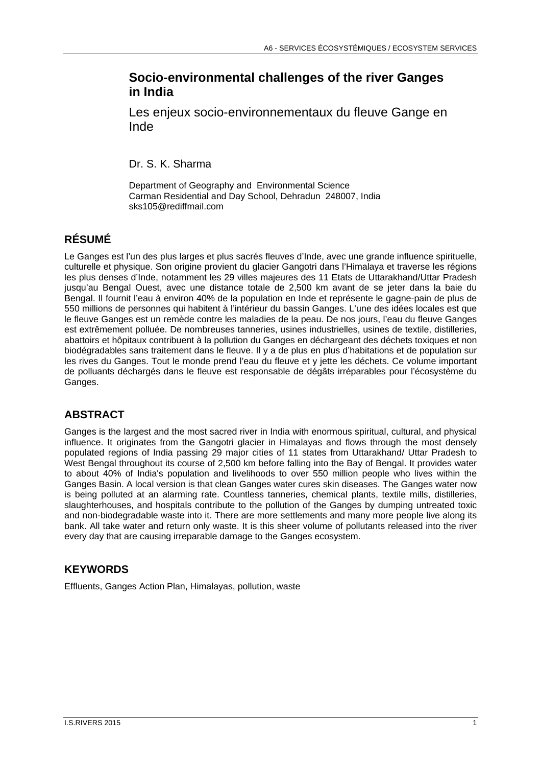## **Socio-environmental challenges of the river Ganges in India**

Les enjeux socio-environnementaux du fleuve Gange en Inde

Dr. S. K. Sharma

Department of Geography and Environmental Science Carman Residential and Day School, Dehradun 248007, India sks105@rediffmail.com

# **RÉSUMÉ**

Le Ganges est l'un des plus larges et plus sacrés fleuves d'Inde, avec une grande influence spirituelle, culturelle et physique. Son origine provient du glacier Gangotri dans l'Himalaya et traverse les régions les plus denses d'Inde, notamment les 29 villes majeures des 11 Etats de Uttarakhand/Uttar Pradesh jusqu'au Bengal Ouest, avec une distance totale de 2,500 km avant de se jeter dans la baie du Bengal. Il fournit l'eau à environ 40% de la population en Inde et représente le gagne-pain de plus de 550 millions de personnes qui habitent à l'intérieur du bassin Ganges. L'une des idées locales est que le fleuve Ganges est un remède contre les maladies de la peau. De nos jours, l'eau du fleuve Ganges est extrêmement polluée. De nombreuses tanneries, usines industrielles, usines de textile, distilleries, abattoirs et hôpitaux contribuent à la pollution du Ganges en déchargeant des déchets toxiques et non biodégradables sans traitement dans le fleuve. Il y a de plus en plus d'habitations et de population sur les rives du Ganges. Tout le monde prend l'eau du fleuve et y jette les déchets. Ce volume important de polluants déchargés dans le fleuve est responsable de dégâts irréparables pour l'écosystème du Ganges.

## **ABSTRACT**

Ganges is the largest and the most sacred river in India with enormous spiritual, cultural, and physical influence. It originates from the Gangotri glacier in Himalayas and flows through the most densely populated regions of India passing 29 major cities of 11 states from Uttarakhand/ Uttar Pradesh to West Bengal throughout its course of 2,500 km before falling into the Bay of Bengal. It provides water to about 40% of India's population and livelihoods to over 550 million people who lives within the Ganges Basin. A local version is that clean Ganges water cures skin diseases. The Ganges water now is being polluted at an alarming rate. Countless tanneries, chemical plants, textile mills, distilleries, slaughterhouses, and hospitals contribute to the pollution of the Ganges by dumping untreated toxic and non-biodegradable waste into it. There are more settlements and many more people live along its bank. All take water and return only waste. It is this sheer volume of pollutants released into the river every day that are causing irreparable damage to the Ganges ecosystem.

## **KEYWORDS**

Effluents, Ganges Action Plan, Himalayas, pollution, waste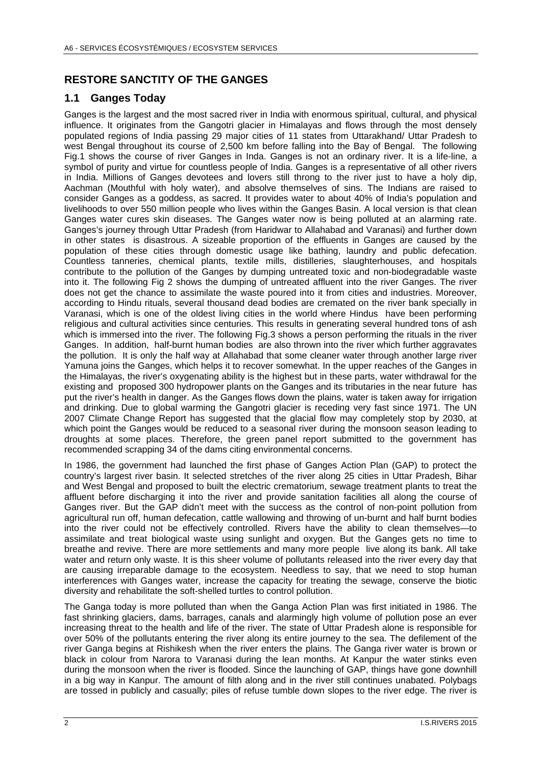## **RESTORE SANCTITY OF THE GANGES**

#### **1.1 Ganges Today**

Ganges is the largest and the most sacred river in India with enormous spiritual, cultural, and physical influence. It originates from the Gangotri glacier in Himalayas and flows through the most densely populated regions of India passing 29 major cities of 11 states from Uttarakhand/ Uttar Pradesh to west Bengal throughout its course of 2,500 km before falling into the Bay of Bengal. The following Fig.1 shows the course of river Ganges in Inda. Ganges is not an ordinary river. It is a life-line, a symbol of purity and virtue for countless people of India. Ganges is a representative of all other rivers in India. Millions of Ganges devotees and lovers still throng to the river just to have a holy dip, Aachman (Mouthful with holy water), and absolve themselves of sins. The Indians are raised to consider Ganges as a goddess, as sacred. It provides water to about 40% of India's population and livelihoods to over 550 million people who lives within the Ganges Basin. A local version is that clean Ganges water cures skin diseases. The Ganges water now is being polluted at an alarming rate. Ganges's journey through Uttar Pradesh (from Haridwar to Allahabad and Varanasi) and further down in other states is disastrous. A sizeable proportion of the effluents in Ganges are caused by the population of these cities through domestic usage like bathing, laundry and public defecation. Countless tanneries, chemical plants, textile mills, distilleries, slaughterhouses, and hospitals contribute to the pollution of the Ganges by dumping untreated toxic and non-biodegradable waste into it. The following Fig 2 shows the dumping of untreated affluent into the river Ganges. The river does not get the chance to assimilate the waste poured into it from cities and industries. Moreover, according to Hindu rituals, several thousand dead bodies are cremated on the river bank specially in Varanasi, which is one of the oldest living cities in the world where Hindus have been performing religious and cultural activities since centuries. This results in generating several hundred tons of ash which is immersed into the river. The following Fig.3 shows a person performing the rituals in the river Ganges. In addition, half-burnt human bodies are also thrown into the river which further aggravates the pollution. It is only the half way at Allahabad that some cleaner water through another large river Yamuna joins the Ganges, which helps it to recover somewhat. In the upper reaches of the Ganges in the Himalayas, the river's oxygenating ability is the highest but in these parts, water withdrawal for the existing and proposed 300 hydropower plants on the Ganges and its tributaries in the near future has put the river's health in danger. As the Ganges flows down the plains, water is taken away for irrigation and drinking. Due to global warming the Gangotri glacier is receding very fast since 1971. The UN 2007 Climate Change Report has suggested that the glacial flow may completely stop by 2030, at which point the Ganges would be reduced to a seasonal river during the monsoon season leading to droughts at some places. Therefore, the green panel report submitted to the government has recommended scrapping 34 of the dams citing environmental concerns.

In 1986, the government had launched the first phase of Ganges Action Plan (GAP) to protect the country's largest river basin. It selected stretches of the river along 25 cities in Uttar Pradesh, Bihar and West Bengal and proposed to built the electric crematorium, sewage treatment plants to treat the affluent before discharging it into the river and provide sanitation facilities all along the course of Ganges river. But the GAP didn't meet with the success as the control of non-point pollution from agricultural run off, human defecation, cattle wallowing and throwing of un-burnt and half burnt bodies into the river could not be effectively controlled. Rivers have the ability to clean themselves—to assimilate and treat biological waste using sunlight and oxygen. But the Ganges gets no time to breathe and revive. There are more settlements and many more people live along its bank. All take water and return only waste. It is this sheer volume of pollutants released into the river every day that are causing irreparable damage to the ecosystem. Needless to say, that we need to stop human interferences with Ganges water, increase the capacity for treating the sewage, conserve the biotic diversity and rehabilitate the soft-shelled turtles to control pollution.

The Ganga today is more polluted than when the Ganga Action Plan was first initiated in 1986. The fast shrinking glaciers, dams, barrages, canals and alarmingly high volume of pollution pose an ever increasing threat to the health and life of the river. The state of Uttar Pradesh alone is responsible for over 50% of the pollutants entering the river along its entire journey to the sea. The defilement of the river Ganga begins at Rishikesh when the river enters the plains. The Ganga river water is brown or black in colour from Narora to Varanasi during the lean months. At Kanpur the water stinks even during the monsoon when the river is flooded. Since the launching of GAP, things have gone downhill in a big way in Kanpur. The amount of filth along and in the river still continues unabated. Polybags are tossed in publicly and casually; piles of refuse tumble down slopes to the river edge. The river is